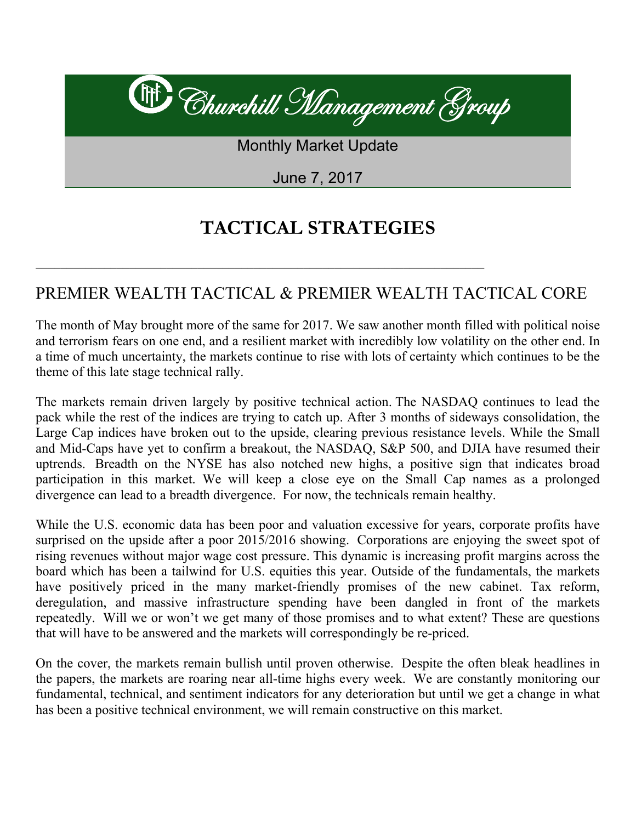# It Churchill Management Group **Monthly Market Update** June 7, 2017

## **TACTICAL STRATEGIES**

## PREMIER WEALTH TACTICAL & PREMIER WEALTH TACTICAL CORE

The month of May brought more of the same for 2017. We saw another month filled with political noise and terrorism fears on one end, and a resilient market with incredibly low volatility on the other end. In a time of much uncertainty, the markets continue to rise with lots of certainty which continues to be the theme of this late stage technical rally.

The markets remain driven largely by positive technical action. The NASDAQ continues to lead the pack while the rest of the indices are trying to catch up. After 3 months of sideways consolidation, the Large Cap indices have broken out to the upside, clearing previous resistance levels. While the Small and Mid-Caps have yet to confirm a breakout, the NASDAQ, S&P 500, and DJIA have resumed their uptrends. Breadth on the NYSE has also notched new highs, a positive sign that indicates broad participation in this market. We will keep a close eye on the Small Cap names as a prolonged divergence can lead to a breadth divergence. For now, the technicals remain healthy.

While the U.S. economic data has been poor and valuation excessive for years, corporate profits have surprised on the upside after a poor 2015/2016 showing. Corporations are enjoying the sweet spot of rising revenues without major wage cost pressure. This dynamic is increasing profit margins across the board which has been a tailwind for U.S. equities this year. Outside of the fundamentals, the markets have positively priced in the many market-friendly promises of the new cabinet. Tax reform, deregulation, and massive infrastructure spending have been dangled in front of the markets repeatedly. Will we or won't we get many of those promises and to what extent? These are questions that will have to be answered and the markets will correspondingly be re-priced.

On the cover, the markets remain bullish until proven otherwise. Despite the often bleak headlines in the papers, the markets are roaring near all-time highs every week. We are constantly monitoring our fundamental, technical, and sentiment indicators for any deterioration but until we get a change in what has been a positive technical environment, we will remain constructive on this market.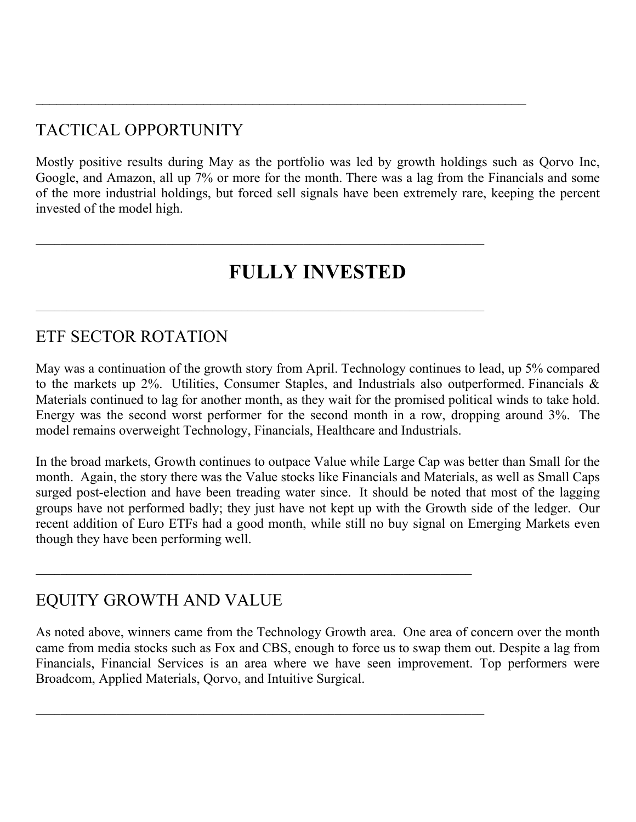## TACTICAL OPPORTUNITY

Mostly positive results during May as the portfolio was led by growth holdings such as Qorvo Inc, Google, and Amazon, all up 7% or more for the month. There was a lag from the Financials and some of the more industrial holdings, but forced sell signals have been extremely rare, keeping the percent invested of the model high.

 $\mathcal{L}_\text{max} = \frac{1}{2} \sum_{i=1}^n \mathcal{L}_\text{max}(\mathbf{z}_i - \mathbf{z}_i)$ 

 $\_$  , and the contribution of the contribution of  $\mathcal{L}_\mathcal{A}$  , and the contribution of  $\mathcal{L}_\mathcal{A}$ 

 $\mathcal{L}_\text{max} = \mathcal{L}_\text{max} = \mathcal{L}_\text{max} = \mathcal{L}_\text{max} = \mathcal{L}_\text{max} = \mathcal{L}_\text{max} = \mathcal{L}_\text{max} = \mathcal{L}_\text{max} = \mathcal{L}_\text{max} = \mathcal{L}_\text{max} = \mathcal{L}_\text{max} = \mathcal{L}_\text{max} = \mathcal{L}_\text{max} = \mathcal{L}_\text{max} = \mathcal{L}_\text{max} = \mathcal{L}_\text{max} = \mathcal{L}_\text{max} = \mathcal{L}_\text{max} = \mathcal{$ 

 $\_$  , and the contribution of the contribution of  $\mathcal{L}_\mathcal{A}$  , and the contribution of  $\mathcal{L}_\mathcal{A}$ 

 $\_$  , and the contribution of the contribution of  $\mathcal{L}_\mathcal{A}$  , and the contribution of  $\mathcal{L}_\mathcal{A}$ 

## **FULLY INVESTED**

#### ETF SECTOR ROTATION

May was a continuation of the growth story from April. Technology continues to lead, up 5% compared to the markets up 2%. Utilities, Consumer Staples, and Industrials also outperformed. Financials & Materials continued to lag for another month, as they wait for the promised political winds to take hold. Energy was the second worst performer for the second month in a row, dropping around 3%. The model remains overweight Technology, Financials, Healthcare and Industrials.

In the broad markets, Growth continues to outpace Value while Large Cap was better than Small for the month. Again, the story there was the Value stocks like Financials and Materials, as well as Small Caps surged post-election and have been treading water since. It should be noted that most of the lagging groups have not performed badly; they just have not kept up with the Growth side of the ledger. Our recent addition of Euro ETFs had a good month, while still no buy signal on Emerging Markets even though they have been performing well.

### EQUITY GROWTH AND VALUE

As noted above, winners came from the Technology Growth area. One area of concern over the month came from media stocks such as Fox and CBS, enough to force us to swap them out. Despite a lag from Financials, Financial Services is an area where we have seen improvement. Top performers were Broadcom, Applied Materials, Qorvo, and Intuitive Surgical.